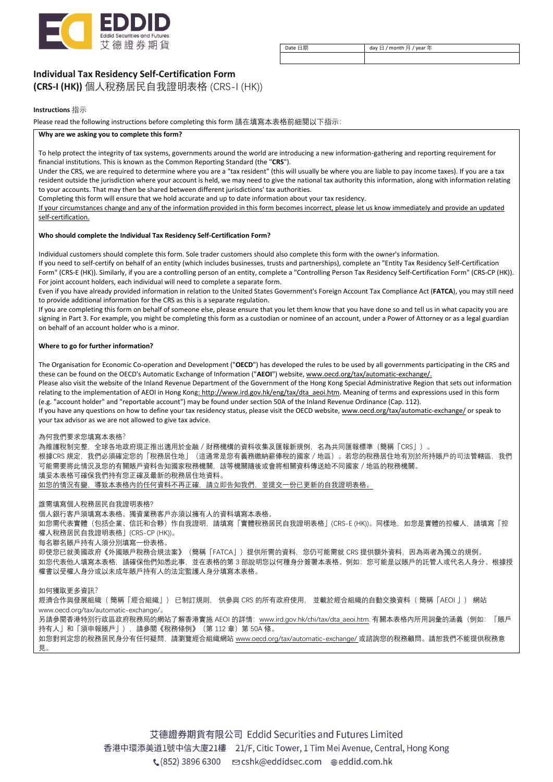

Date 日期 day 日 / month 月 / year 年

**Individual Tax Residency Self-Certification Form** 

**(CRS-I (HK))** 個人稅務居民自我證明表格 (CRS-I (HK))

#### **Instructions** 指示

Please read the following instructions before completing this form 請在填寫本表格前細閱以下指示:

#### **Why are we asking you to complete this form?**

To help protect the integrity of tax systems, governments around the world are introducing a new information-gathering and reporting requirement for financial institutions. This is known as the Common Reporting Standard (the "**CRS**").

Under the CRS, we are required to determine where you are a "tax resident" (this will usually be where you are liable to pay income taxes). If you are a tax resident outside the jurisdiction where your account is held, we may need to give the national tax authority this information, along with information relating to your accounts. That may then be shared between different jurisdictions' tax authorities.

Completing this form will ensure that we hold accurate and up to date information about your tax residency.

If your circumstances change and any of the information provided in this form becomes incorrect, please let us know immediately and provide an updated self-certification.

#### **Who should complete the Individual Tax Residency Self-Certification Form?**

Individual customers should complete this form. Sole trader customers should also complete this form with the owner's information.

If you need to self-certify on behalf of an entity (which includes businesses, trusts and partnerships), complete an "Entity Tax Residency Self-Certification Form" (CRS-E (HK)). Similarly, if you are a controlling person of an entity, complete a "Controlling Person Tax Residency Self-Certification Form" (CRS-CP (HK)). For joint account holders, each individual will need to complete a separate form.

Even if you have already provided information in relation to the United States Government's Foreign Account Tax Compliance Act (**FATCA**), you may still need to provide additional information for the CRS as this is a separate regulation.

If you are completing this form on behalf of someone else, please ensure that you let them know that you have done so and tell us in what capacity you are signing in Part 3. For example, you might be completing this form as a custodian or nominee of an account, under a Power of Attorney or as a legal guardian on behalf of an account holder who is a minor.

#### **Where to go for further information?**

The Organisation for Economic Co-operation and Development ("**OECD**") has developed the rules to be used by all governments participating in the CRS and these can be found on the OECD's Automatic Exchange of Information ("**AEOI**") website, www.oecd.org/tax/automatic-exchange/.

Please also visit the website of the Inland Revenue Department of the Government of the Hong Kong Special Administrative Region that sets out information relating to the implementation of AEOI in Hong Kong: http://www.ird.gov.hk/eng/tax/dta\_aeoi.htm. Meaning of terms and expressions used in this form (e.g. "account holder" and "reportable account") may be found under section 50A of the Inland Revenue Ordinance (Cap. 112).

If you have any questions on how to define your tax residency status, please visit the OECD website, www.oecd.org/tax/automatic-exchange/ or speak to your tax advisor as we are not allowed to give tax advice.

為何我們要求您填寫本表格? 為維護稅制完整,全球各地政府現正推出適用於金融/財務機構的資料收集及匯報新規例,名為共同匯報標準(簡稱「CRS」)。 根據CRS 規定,我們必須確定您的「稅務居住地」(這通常是您有義務繳納薪俸稅的國家/地區)。若您的稅務居住地有別於所持賬戶的司法管轄區,我們 可能需要將此情況及您的有關賬戶資料告知國家稅務機關,該等機關隨後或會將相關資料傳送給不同國家/地區的稅務機關。 填妥本表格可確保我們持有您正確及最新的稅務居住地資料。 如您的情況有變,導致本表格內的任何資料不再正確,請立即告知我們,並提交一份已更新的自我證明表格。

誰需填寫個人稅務居民自我證明表格? 個人銀行客戶須填寫本表格。獨資業務客戶亦須以擁有人的資料填寫本表格。 如您需代表實體(包括企業、信託和合夥)作自我證明,請填寫「實體稅務居民自我證明表格」(CRS-E (HK))。同樣地,如您是實體的控權人,請填寫「控 權人稅務居民自我證明表格」(CRS-CP (HK))。 每名聯名賬戶持有人須分別填寫一份表格。 即使您已就美國政府《外國賬戶稅務合規法案》(簡稱「FATCA」)提供所需的資料,您仍可能需就 CRS 提供額外資料,因為兩者為獨立的規例。 如您代表他人填寫本表格,請確保他們知悉此事,並在表格的第 3 部說明您以何種身分簽署本表格。例如:您可能是以賬戶的託管人或代名人身分、根據授 權書以受權人身分或以未成年賬戶持有人的法定監護人身分填寫本表格。

如何獲取更多資訊?

經濟合作與發展組織( 簡稱「經合組織」) 已制訂規則, 供參與 CRS 的所有政府使用, 並載於經合組織的自動交換資料( 簡稱「AEOI 」) 網站 www.oecd.org/tax/automatic-exchange/。 另請參閱香港特別行政區政府稅務局的網站了解香港實施 AEOI 的詳情:www.ird.gov.hk/chi/tax/dta\_aeoi.htm. 有關本表格內所用詞彙的涵義(例如:「賬戶 持有人 | 和「須申報賬戶 | ) , 請參閣《稅務條例》 (第 112 章) 第 50A 條。 如您對判定您的稅務居民身分有任何疑問,請瀏覽經合組織網站 www.oecd.org/tax/automatic-exchange/ 或諮詢您的稅務顧問。請恕我們不能提供稅務意 見。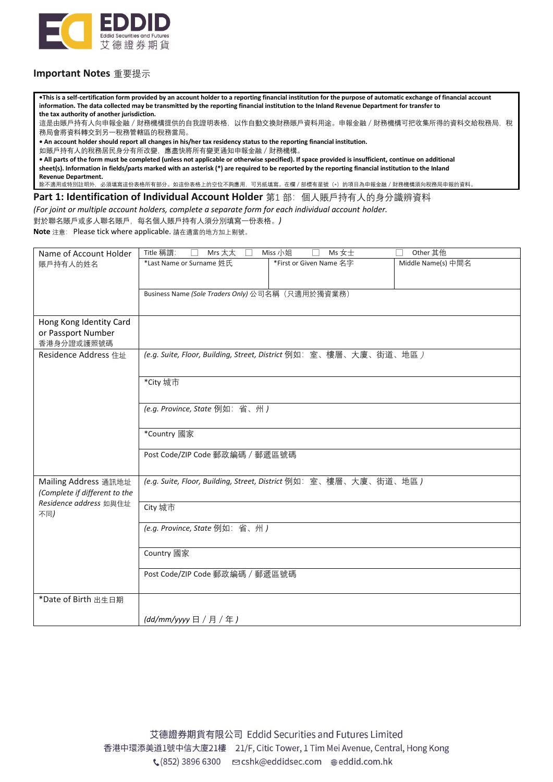

## **Important Notes** 重要提示

**•This is a self-certification form provided by an account holder to a reporting financial institution for the purpose of automatic exchange of financial account information. The data collected may be transmitted by the reporting financial institution to the Inland Revenue Department for transfer to the tax authority of another jurisdiction.** 

這是由賬戶持有人向申報金融 / 財務機構提供的自我證明表格, 以作自動交換財務賬戶資料用途。申報金融 / 財務機構可把收集所得的資料交給稅務局, 稅 務局會將資料轉交到另一稅務管轄區的稅務當局。

**• An account holder should report all changes in his/her tax residency status to the reporting financial institution.**

如賬戶持有人的稅務居民身分有所改變,應盡快將所有變更通知申報金融/財務機構。

**• All parts of the form must be completed (unless not applicable or otherwise specified). If space provided is insufficient, continue on additional sheet(s). Information in fields/parts marked with an asterisk (\*) are required to be reported by the reporting financial institution to the Inland Revenue Department.**

除不適用或特別註明外,必須填寫這份表格所有部分。如這份表格上的空位不夠應用,可另紙填寫。在欄 / 部標有星號(\*)的項目為申報金融 / 財務機構須向稅務局申報的資料。

Part 1: Identification of Individual Account Holder 第1 部: 個人賬戶持有人的身分識辨資料

*(For joint or multiple account holders, complete a separate form for each individual account holder.*

對於聯名賬戶或多人聯名賬戶,每名個人賬戶持有人須分別填寫一份表格。*)*

**Note** 注意: Please tick where applicable. 請在適當的地方加上剔號。

| Name of Account Holder                                  | Title 稱謂:<br>Mrs 太太<br>$\Box$                                                    | Miss 小姐<br>Ms 女士        | Other 其他           |  |
|---------------------------------------------------------|----------------------------------------------------------------------------------|-------------------------|--------------------|--|
| 賬戶持有人的姓名                                                | *Last Name or Surname 姓氏                                                         | *First or Given Name 名字 | Middle Name(s) 中間名 |  |
|                                                         |                                                                                  |                         |                    |  |
|                                                         | Business Name (Sole Traders Only) 公司名稱 (只適用於獨資業務)                                |                         |                    |  |
|                                                         |                                                                                  |                         |                    |  |
| Hong Kong Identity Card                                 |                                                                                  |                         |                    |  |
| or Passport Number<br>香港身分證或護照號碼                        |                                                                                  |                         |                    |  |
| Residence Address 住址                                    | (e.g. Suite, Floor, Building, Street, District 例如: 室、樓層、大廈、街道、地區 )               |                         |                    |  |
|                                                         |                                                                                  |                         |                    |  |
|                                                         | *City 城市                                                                         |                         |                    |  |
|                                                         |                                                                                  |                         |                    |  |
|                                                         | (e.g. Province, State 例如: 省、州)<br>*Country 國家<br>Post Code/ZIP Code 郵政編碼 / 郵遞區號碼 |                         |                    |  |
|                                                         |                                                                                  |                         |                    |  |
|                                                         |                                                                                  |                         |                    |  |
|                                                         |                                                                                  |                         |                    |  |
|                                                         |                                                                                  |                         |                    |  |
| Mailing Address 通訊地址                                    | (e.g. Suite, Floor, Building, Street, District 例如: 室、樓層、大廈、街道、地區)                |                         |                    |  |
| (Complete if different to the<br>Residence address 如與住址 |                                                                                  |                         |                    |  |
| 不同)                                                     | City 城市                                                                          |                         |                    |  |
|                                                         | (e.g. Province, State 例如: 省、州)                                                   |                         |                    |  |
|                                                         |                                                                                  |                         |                    |  |
|                                                         | Country 國家                                                                       |                         |                    |  |
|                                                         | Post Code/ZIP Code 郵政編碼 / 郵遞區號碼                                                  |                         |                    |  |
|                                                         |                                                                                  |                         |                    |  |
| *Date of Birth 出生日期                                     |                                                                                  |                         |                    |  |
|                                                         | (dd/mm/yyyy日 / 月 / 年)                                                            |                         |                    |  |
|                                                         |                                                                                  |                         |                    |  |